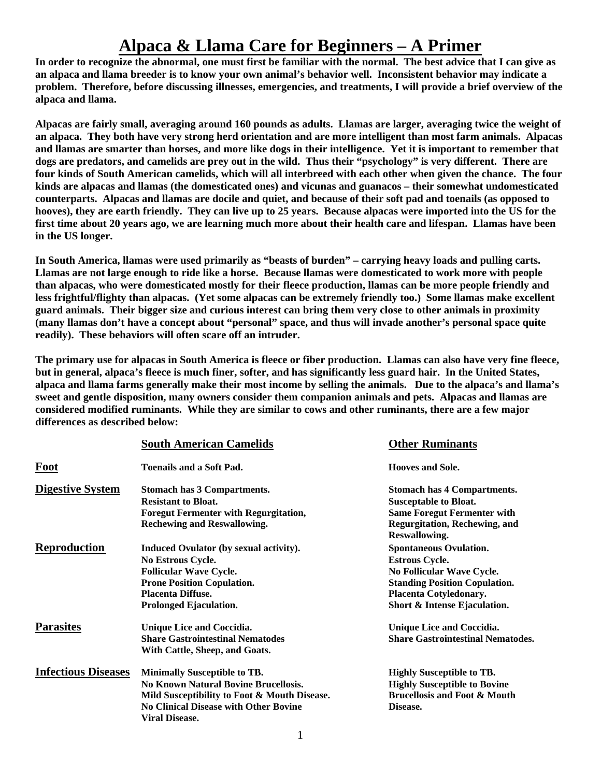# **Alpaca & Llama Care for Beginners – A Primer**

**In order to recognize the abnormal, one must first be familiar with the normal. The best advice that I can give as an alpaca and llama breeder is to know your own animal's behavior well. Inconsistent behavior may indicate a problem. Therefore, before discussing illnesses, emergencies, and treatments, I will provide a brief overview of the alpaca and llama.** 

**Alpacas are fairly small, averaging around 160 pounds as adults. Llamas are larger, averaging twice the weight of an alpaca. They both have very strong herd orientation and are more intelligent than most farm animals. Alpacas and llamas are smarter than horses, and more like dogs in their intelligence. Yet it is important to remember that dogs are predators, and camelids are prey out in the wild. Thus their "psychology" is very different. There are four kinds of South American camelids, which will all interbreed with each other when given the chance. The four kinds are alpacas and llamas (the domesticated ones) and vicunas and guanacos – their somewhat undomesticated counterparts. Alpacas and llamas are docile and quiet, and because of their soft pad and toenails (as opposed to hooves), they are earth friendly. They can live up to 25 years. Because alpacas were imported into the US for the first time about 20 years ago, we are learning much more about their health care and lifespan. Llamas have been in the US longer.** 

**In South America, llamas were used primarily as "beasts of burden" – carrying heavy loads and pulling carts. Llamas are not large enough to ride like a horse. Because llamas were domesticated to work more with people than alpacas, who were domesticated mostly for their fleece production, llamas can be more people friendly and less frightful/flighty than alpacas. (Yet some alpacas can be extremely friendly too.) Some llamas make excellent guard animals. Their bigger size and curious interest can bring them very close to other animals in proximity (many llamas don't have a concept about "personal" space, and thus will invade another's personal space quite readily). These behaviors will often scare off an intruder.** 

**The primary use for alpacas in South America is fleece or fiber production. Llamas can also have very fine fleece, but in general, alpaca's fleece is much finer, softer, and has significantly less guard hair. In the United States, alpaca and llama farms generally make their most income by selling the animals. Due to the alpaca's and llama's sweet and gentle disposition, many owners consider them companion animals and pets. Alpacas and llamas are considered modified ruminants. While they are similar to cows and other ruminants, there are a few major differences as described below:** 

|                            | <b>South American Camelids</b>               | <b>Other Ruminants</b>                   |
|----------------------------|----------------------------------------------|------------------------------------------|
| Foot                       | <b>Toenails and a Soft Pad.</b>              | <b>Hooves and Sole.</b>                  |
| <b>Digestive System</b>    | <b>Stomach has 3 Compartments.</b>           | <b>Stomach has 4 Compartments.</b>       |
|                            | <b>Resistant to Bloat.</b>                   | <b>Susceptable to Bloat.</b>             |
|                            | <b>Foregut Fermenter with Regurgitation,</b> | <b>Same Foregut Fermenter with</b>       |
|                            | <b>Rechewing and Reswallowing.</b>           | Regurgitation, Rechewing, and            |
|                            |                                              | Reswallowing.                            |
| <b>Reproduction</b>        | Induced Ovulator (by sexual activity).       | <b>Spontaneous Ovulation.</b>            |
|                            | No Estrous Cycle.                            | <b>Estrous Cycle.</b>                    |
|                            | <b>Follicular Wave Cycle.</b>                | No Follicular Wave Cycle.                |
|                            | <b>Prone Position Copulation.</b>            | <b>Standing Position Copulation.</b>     |
|                            | <b>Placenta Diffuse.</b>                     | <b>Placenta Cotyledonary.</b>            |
|                            | Prolonged Ejaculation.                       | Short & Intense Ejaculation.             |
| <b>Parasites</b>           | Unique Lice and Coccidia.                    | <b>Unique Lice and Coccidia.</b>         |
|                            | <b>Share Gastrointestinal Nematodes</b>      | <b>Share Gastrointestinal Nematodes.</b> |
|                            | With Cattle, Sheep, and Goats.               |                                          |
| <b>Infectious Diseases</b> | <b>Minimally Susceptible to TB.</b>          | <b>Highly Susceptible to TB.</b>         |
|                            | <b>No Known Natural Bovine Brucellosis.</b>  | <b>Highly Susceptible to Bovine</b>      |
|                            | Mild Susceptibility to Foot & Mouth Disease. | <b>Brucellosis and Foot &amp; Mouth</b>  |
|                            | <b>No Clinical Disease with Other Bovine</b> | Disease.                                 |
|                            | <b>Viral Disease.</b>                        |                                          |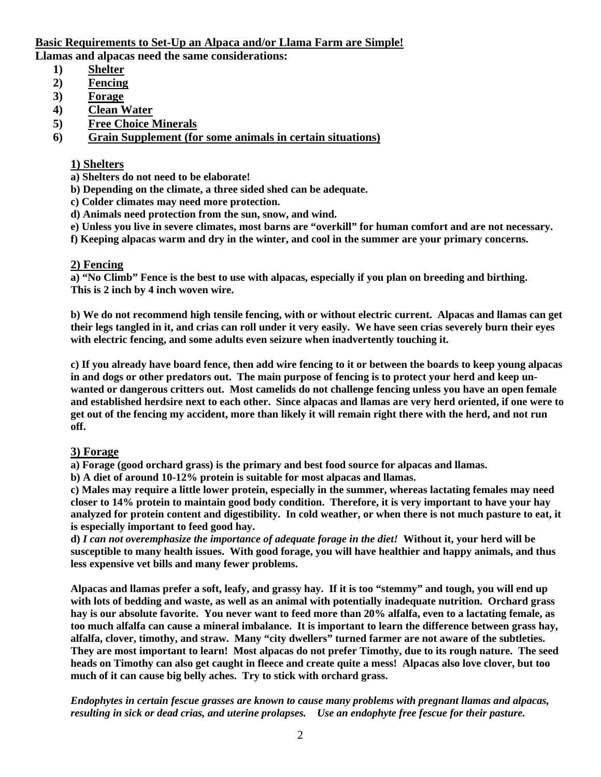# **Basic Requirements to Set-Up an Alpaca and/or Llama Farm are Simple! Llamas and alpacas need the same considerations:**

- **1) Shelter**
- **2) Fencing**
- **3) Forage**
- **4) Clean Water**
- **5) Free Choice Minerals**

**6) Grain Supplement (for some animals in certain situations)**

# **1) Shelters**

**a) Shelters do not need to be elaborate!** 

- **b) Depending on the climate, a three sided shed can be adequate.**
- **c) Colder climates may need more protection.**
- **d) Animals need protection from the sun, snow, and wind.**
- **e) Unless you live in severe climates, most barns are "overkill" for human comfort and are not necessary.**
- **f) Keeping alpacas warm and dry in the winter, and cool in the summer are your primary concerns.**

# **2) Fencing**

**a) "No Climb" Fence is the best to use with alpacas, especially if you plan on breeding and birthing. This is 2 inch by 4 inch woven wire.** 

**b) We do not recommend high tensile fencing, with or without electric current. Alpacas and llamas can get their legs tangled in it, and crias can roll under it very easily. We have seen crias severely burn their eyes with electric fencing, and some adults even seizure when inadvertently touching it.** 

**c) If you already have board fence, then add wire fencing to it or between the boards to keep young alpacas in and dogs or other predators out. The main purpose of fencing is to protect your herd and keep unwanted or dangerous critters out. Most camelids do not challenge fencing unless you have an open female and established herdsire next to each other. Since alpacas and llamas are very herd oriented, if one were to get out of the fencing my accident, more than likely it will remain right there with the herd, and not run off.** 

# **3) Forage**

**a) Forage (good orchard grass) is the primary and best food source for alpacas and llamas.** 

**b) A diet of around 10-12% protein is suitable for most alpacas and llamas.** 

**c) Males may require a little lower protein, especially in the summer, whereas lactating females may need closer to 14% protein to maintain good body condition. Therefore, it is very important to have your hay analyzed for protein content and digestibility. In cold weather, or when there is not much pasture to eat, it is especially important to feed good hay.** 

**d)** *I can not overemphasize the importance of adequate forage in the diet!* **Without it, your herd will be susceptible to many health issues. With good forage, you will have healthier and happy animals, and thus less expensive vet bills and many fewer problems.** 

**Alpacas and llamas prefer a soft, leafy, and grassy hay. If it is too "stemmy" and tough, you will end up with lots of bedding and waste, as well as an animal with potentially inadequate nutrition. Orchard grass hay is our absolute favorite. You never want to feed more than 20% alfalfa, even to a lactating female, as too much alfalfa can cause a mineral imbalance. It is important to learn the difference between grass hay, alfalfa, clover, timothy, and straw. Many "city dwellers" turned farmer are not aware of the subtleties. They are most important to learn! Most alpacas do not prefer Timothy, due to its rough nature. The seed heads on Timothy can also get caught in fleece and create quite a mess! Alpacas also love clover, but too much of it can cause big belly aches. Try to stick with orchard grass.** 

*Endophytes in certain fescue grasses are known to cause many problems with pregnant llamas and alpacas, resulting in sick or dead crias, and uterine prolapses. Use an endophyte free fescue for their pasture.*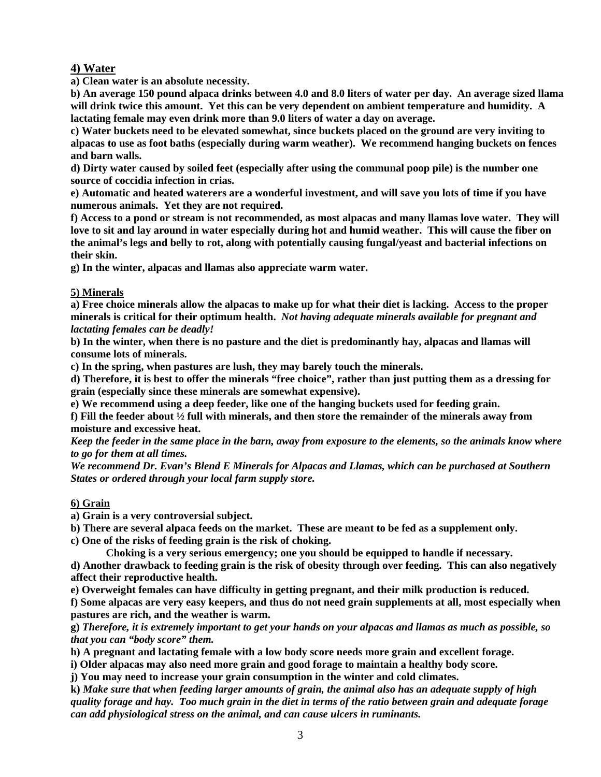# **4) Water**

**a) Clean water is an absolute necessity.** 

**b) An average 150 pound alpaca drinks between 4.0 and 8.0 liters of water per day. An average sized llama will drink twice this amount. Yet this can be very dependent on ambient temperature and humidity. A lactating female may even drink more than 9.0 liters of water a day on average.** 

**c) Water buckets need to be elevated somewhat, since buckets placed on the ground are very inviting to alpacas to use as foot baths (especially during warm weather). We recommend hanging buckets on fences and barn walls.** 

**d) Dirty water caused by soiled feet (especially after using the communal poop pile) is the number one source of coccidia infection in crias.** 

**e) Automatic and heated waterers are a wonderful investment, and will save you lots of time if you have numerous animals. Yet they are not required.** 

**f) Access to a pond or stream is not recommended, as most alpacas and many llamas love water. They will love to sit and lay around in water especially during hot and humid weather. This will cause the fiber on the animal's legs and belly to rot, along with potentially causing fungal/yeast and bacterial infections on their skin.** 

**g) In the winter, alpacas and llamas also appreciate warm water.** 

# **5) Minerals**

**a) Free choice minerals allow the alpacas to make up for what their diet is lacking. Access to the proper minerals is critical for their optimum health.** *Not having adequate minerals available for pregnant and lactating females can be deadly!* 

**b) In the winter, when there is no pasture and the diet is predominantly hay, alpacas and llamas will consume lots of minerals.** 

**c) In the spring, when pastures are lush, they may barely touch the minerals.** 

**d) Therefore, it is best to offer the minerals "free choice", rather than just putting them as a dressing for grain (especially since these minerals are somewhat expensive).** 

**e) We recommend using a deep feeder, like one of the hanging buckets used for feeding grain.** 

**f) Fill the feeder about ½ full with minerals, and then store the remainder of the minerals away from moisture and excessive heat.** 

*Keep the feeder in the same place in the barn, away from exposure to the elements, so the animals know where to go for them at all times.* 

*We recommend Dr. Evan's Blend E Minerals for Alpacas and Llamas, which can be purchased at Southern States or ordered through your local farm supply store.* 

# **6) Grain**

 **a) Grain is a very controversial subject.** 

 **b) There are several alpaca feeds on the market. These are meant to be fed as a supplement only.** 

 **c) One of the risks of feeding grain is the risk of choking.** 

 **Choking is a very serious emergency; one you should be equipped to handle if necessary.** 

**d) Another drawback to feeding grain is the risk of obesity through over feeding. This can also negatively affect their reproductive health.** 

**e) Overweight females can have difficulty in getting pregnant, and their milk production is reduced.** 

**f) Some alpacas are very easy keepers, and thus do not need grain supplements at all, most especially when pastures are rich, and the weather is warm.** 

**g)** *Therefore, it is extremely important to get your hands on your alpacas and llamas as much as possible, so that you can "body score" them.*

**h) A pregnant and lactating female with a low body score needs more grain and excellent forage.** 

**i) Older alpacas may also need more grain and good forage to maintain a healthy body score.** 

**j) You may need to increase your grain consumption in the winter and cold climates.** 

**k)** *Make sure that when feeding larger amounts of grain, the animal also has an adequate supply of high quality forage and hay. Too much grain in the diet in terms of the ratio between grain and adequate forage can add physiological stress on the animal, and can cause ulcers in ruminants.*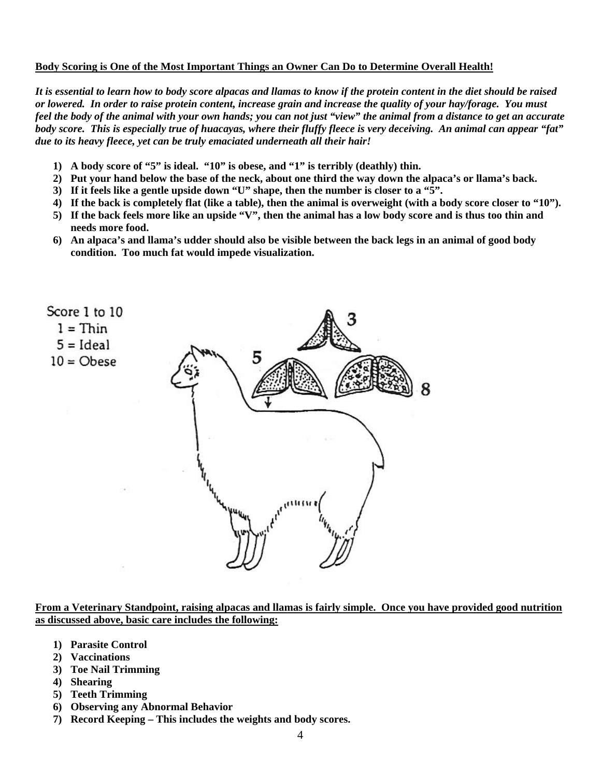#### **Body Scoring is One of the Most Important Things an Owner Can Do to Determine Overall Health!**

*It is essential to learn how to body score alpacas and llamas to know if the protein content in the diet should be raised or lowered. In order to raise protein content, increase grain and increase the quality of your hay/forage. You must feel the body of the animal with your own hands; you can not just "view" the animal from a distance to get an accurate body score. This is especially true of huacayas, where their fluffy fleece is very deceiving. An animal can appear "fat" due to its heavy fleece, yet can be truly emaciated underneath all their hair!* 

- **1) A body score of "5" is ideal. "10" is obese, and "1" is terribly (deathly) thin.**
- **2) Put your hand below the base of the neck, about one third the way down the alpaca's or llama's back.**
- **3) If it feels like a gentle upside down "U" shape, then the number is closer to a "5".**
- **4) If the back is completely flat (like a table), then the animal is overweight (with a body score closer to "10").**
- **5) If the back feels more like an upside "V", then the animal has a low body score and is thus too thin and needs more food.**
- **6) An alpaca's and llama's udder should also be visible between the back legs in an animal of good body condition. Too much fat would impede visualization.**



**From a Veterinary Standpoint, raising alpacas and llamas is fairly simple. Once you have provided good nutrition as discussed above, basic care includes the following:**

- **1) Parasite Control**
- **2) Vaccinations**
- **3) Toe Nail Trimming**
- **4) Shearing**
- **5) Teeth Trimming**
- **6) Observing any Abnormal Behavior**
- **7) Record Keeping This includes the weights and body scores.**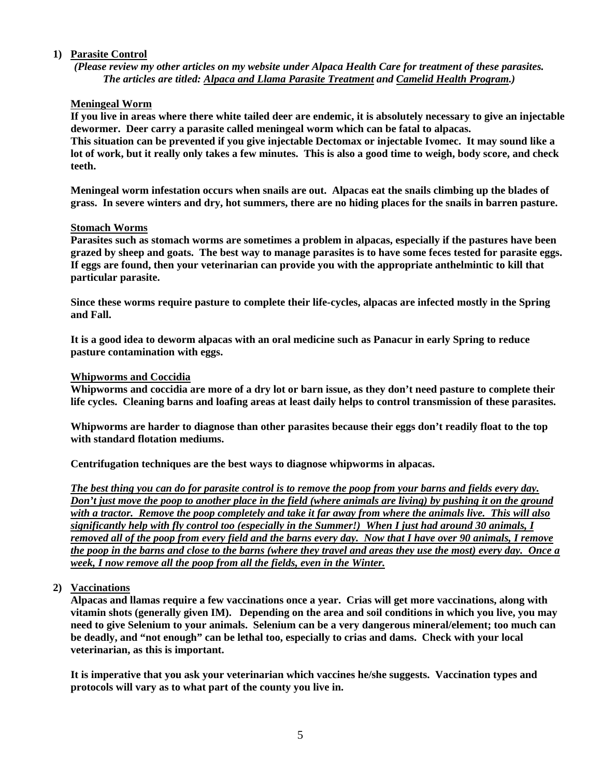# **1) Parasite Control**

*(Please review my other articles on my website under Alpaca Health Care for treatment of these parasites. The articles are titled: Alpaca and Llama Parasite Treatment and Camelid Health Program.)* 

# **Meningeal Worm**

**If you live in areas where there white tailed deer are endemic, it is absolutely necessary to give an injectable dewormer. Deer carry a parasite called meningeal worm which can be fatal to alpacas.** 

**This situation can be prevented if you give injectable Dectomax or injectable Ivomec. It may sound like a lot of work, but it really only takes a few minutes. This is also a good time to weigh, body score, and check teeth.** 

**Meningeal worm infestation occurs when snails are out. Alpacas eat the snails climbing up the blades of grass. In severe winters and dry, hot summers, there are no hiding places for the snails in barren pasture.** 

# **Stomach Worms**

**Parasites such as stomach worms are sometimes a problem in alpacas, especially if the pastures have been grazed by sheep and goats. The best way to manage parasites is to have some feces tested for parasite eggs. If eggs are found, then your veterinarian can provide you with the appropriate anthelmintic to kill that particular parasite.** 

**Since these worms require pasture to complete their life-cycles, alpacas are infected mostly in the Spring and Fall.** 

**It is a good idea to deworm alpacas with an oral medicine such as Panacur in early Spring to reduce pasture contamination with eggs.** 

#### **Whipworms and Coccidia**

**Whipworms and coccidia are more of a dry lot or barn issue, as they don't need pasture to complete their life cycles. Cleaning barns and loafing areas at least daily helps to control transmission of these parasites.** 

**Whipworms are harder to diagnose than other parasites because their eggs don't readily float to the top with standard flotation mediums.** 

**Centrifugation techniques are the best ways to diagnose whipworms in alpacas.** 

*The best thing you can do for parasite control is to remove the poop from your barns and fields every day. Don't just move the poop to another place in the field (where animals are living) by pushing it on the ground with a tractor. Remove the poop completely and take it far away from where the animals live. This will also significantly help with fly control too (especially in the Summer!) When I just had around 30 animals, I removed all of the poop from every field and the barns every day. Now that I have over 90 animals, I remove the poop in the barns and close to the barns (where they travel and areas they use the most) every day. Once a week, I now remove all the poop from all the fields, even in the Winter.* 

# **2) Vaccinations**

**Alpacas and llamas require a few vaccinations once a year. Crias will get more vaccinations, along with vitamin shots (generally given IM). Depending on the area and soil conditions in which you live, you may need to give Selenium to your animals. Selenium can be a very dangerous mineral/element; too much can be deadly, and "not enough" can be lethal too, especially to crias and dams. Check with your local veterinarian, as this is important.** 

**It is imperative that you ask your veterinarian which vaccines he/she suggests. Vaccination types and protocols will vary as to what part of the county you live in.**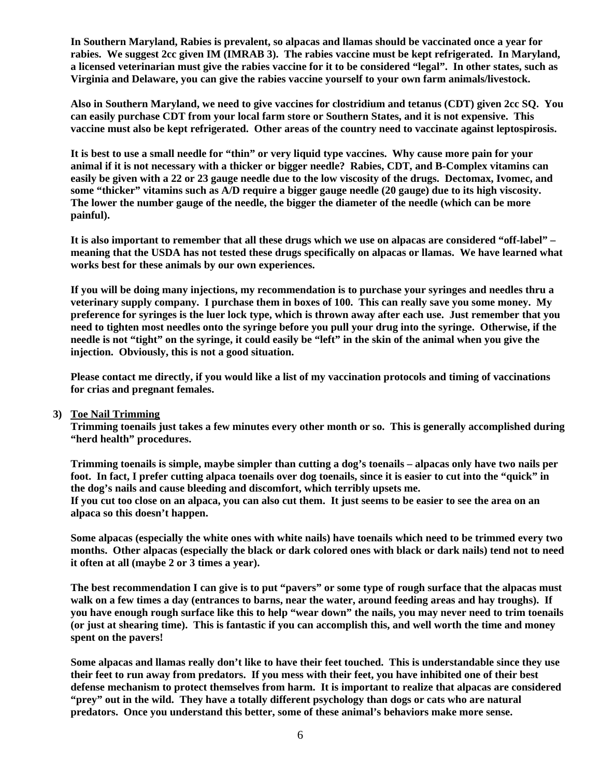**In Southern Maryland, Rabies is prevalent, so alpacas and llamas should be vaccinated once a year for rabies. We suggest 2cc given IM (IMRAB 3). The rabies vaccine must be kept refrigerated. In Maryland, a licensed veterinarian must give the rabies vaccine for it to be considered "legal". In other states, such as Virginia and Delaware, you can give the rabies vaccine yourself to your own farm animals/livestock.** 

**Also in Southern Maryland, we need to give vaccines for clostridium and tetanus (CDT) given 2cc SQ. You can easily purchase CDT from your local farm store or Southern States, and it is not expensive. This vaccine must also be kept refrigerated. Other areas of the country need to vaccinate against leptospirosis.** 

**It is best to use a small needle for "thin" or very liquid type vaccines. Why cause more pain for your animal if it is not necessary with a thicker or bigger needle? Rabies, CDT, and B-Complex vitamins can easily be given with a 22 or 23 gauge needle due to the low viscosity of the drugs. Dectomax, Ivomec, and some "thicker" vitamins such as A/D require a bigger gauge needle (20 gauge) due to its high viscosity. The lower the number gauge of the needle, the bigger the diameter of the needle (which can be more painful).** 

**It is also important to remember that all these drugs which we use on alpacas are considered "off-label" – meaning that the USDA has not tested these drugs specifically on alpacas or llamas. We have learned what works best for these animals by our own experiences.** 

**If you will be doing many injections, my recommendation is to purchase your syringes and needles thru a veterinary supply company. I purchase them in boxes of 100. This can really save you some money. My preference for syringes is the luer lock type, which is thrown away after each use. Just remember that you need to tighten most needles onto the syringe before you pull your drug into the syringe. Otherwise, if the needle is not "tight" on the syringe, it could easily be "left" in the skin of the animal when you give the injection. Obviously, this is not a good situation.** 

**Please contact me directly, if you would like a list of my vaccination protocols and timing of vaccinations for crias and pregnant females.** 

#### **3) Toe Nail Trimming**

**Trimming toenails just takes a few minutes every other month or so. This is generally accomplished during "herd health" procedures.** 

**Trimming toenails is simple, maybe simpler than cutting a dog's toenails – alpacas only have two nails per foot. In fact, I prefer cutting alpaca toenails over dog toenails, since it is easier to cut into the "quick" in the dog's nails and cause bleeding and discomfort, which terribly upsets me.** 

**If you cut too close on an alpaca, you can also cut them. It just seems to be easier to see the area on an alpaca so this doesn't happen.** 

**Some alpacas (especially the white ones with white nails) have toenails which need to be trimmed every two months. Other alpacas (especially the black or dark colored ones with black or dark nails) tend not to need it often at all (maybe 2 or 3 times a year).** 

**The best recommendation I can give is to put "pavers" or some type of rough surface that the alpacas must walk on a few times a day (entrances to barns, near the water, around feeding areas and hay troughs). If you have enough rough surface like this to help "wear down" the nails, you may never need to trim toenails (or just at shearing time). This is fantastic if you can accomplish this, and well worth the time and money spent on the pavers!** 

**Some alpacas and llamas really don't like to have their feet touched. This is understandable since they use their feet to run away from predators. If you mess with their feet, you have inhibited one of their best defense mechanism to protect themselves from harm. It is important to realize that alpacas are considered "prey" out in the wild. They have a totally different psychology than dogs or cats who are natural predators. Once you understand this better, some of these animal's behaviors make more sense.**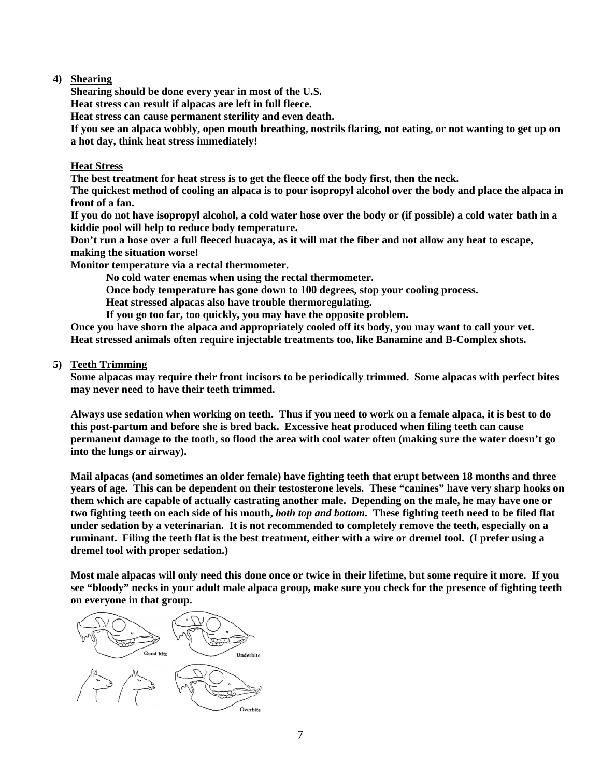# **4) Shearing**

**Shearing should be done every year in most of the U.S.** 

**Heat stress can result if alpacas are left in full fleece.** 

**Heat stress can cause permanent sterility and even death.** 

**If you see an alpaca wobbly, open mouth breathing, nostrils flaring, not eating, or not wanting to get up on a hot day, think heat stress immediately!** 

# **Heat Stress**

**The best treatment for heat stress is to get the fleece off the body first, then the neck.** 

**The quickest method of cooling an alpaca is to pour isopropyl alcohol over the body and place the alpaca in front of a fan.** 

**If you do not have isopropyl alcohol, a cold water hose over the body or (if possible) a cold water bath in a kiddie pool will help to reduce body temperature.** 

**Don't run a hose over a full fleeced huacaya, as it will mat the fiber and not allow any heat to escape, making the situation worse!** 

**Monitor temperature via a rectal thermometer.** 

 **No cold water enemas when using the rectal thermometer.** 

 **Once body temperature has gone down to 100 degrees, stop your cooling process.** 

 **Heat stressed alpacas also have trouble thermoregulating.** 

 **If you go too far, too quickly, you may have the opposite problem.** 

**Once you have shorn the alpaca and appropriately cooled off its body, you may want to call your vet. Heat stressed animals often require injectable treatments too, like Banamine and B-Complex shots.** 

# **5) Teeth Trimming**

**Some alpacas may require their front incisors to be periodically trimmed. Some alpacas with perfect bites may never need to have their teeth trimmed.** 

**Always use sedation when working on teeth. Thus if you need to work on a female alpaca, it is best to do this post-partum and before she is bred back. Excessive heat produced when filing teeth can cause permanent damage to the tooth, so flood the area with cool water often (making sure the water doesn't go into the lungs or airway).** 

**Mail alpacas (and sometimes an older female) have fighting teeth that erupt between 18 months and three years of age. This can be dependent on their testosterone levels. These "canines" have very sharp hooks on them which are capable of actually castrating another male. Depending on the male, he may have one or two fighting teeth on each side of his mouth,** *both top and bottom***. These fighting teeth need to be filed flat under sedation by a veterinarian. It is not recommended to completely remove the teeth, especially on a ruminant. Filing the teeth flat is the best treatment, either with a wire or dremel tool. (I prefer using a dremel tool with proper sedation.)** 

**Most male alpacas will only need this done once or twice in their lifetime, but some require it more. If you see "bloody" necks in your adult male alpaca group, make sure you check for the presence of fighting teeth on everyone in that group.** 

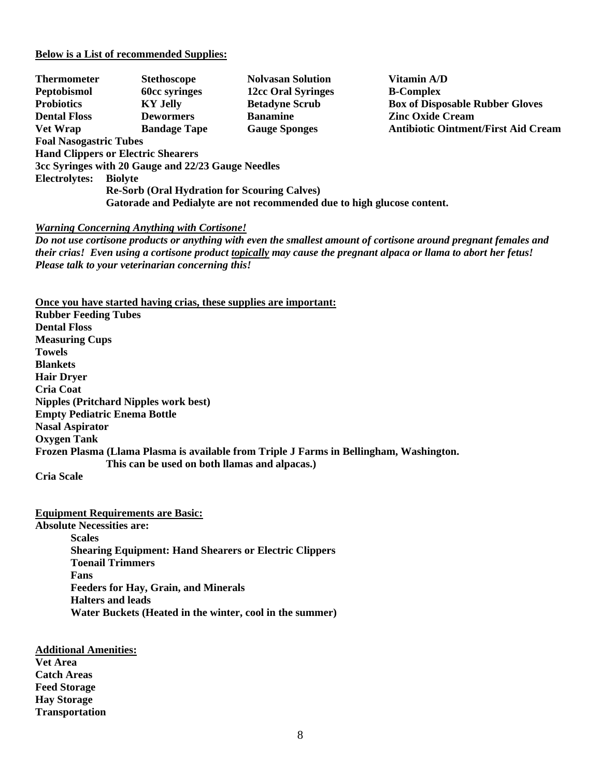#### **Below is a List of recommended Supplies:**

| <b>Thermometer</b>                                                                                                             | <b>Stethoscope</b>                        | <b>Nolvasan Solution</b>  | Vitamin A/D                                |  |
|--------------------------------------------------------------------------------------------------------------------------------|-------------------------------------------|---------------------------|--------------------------------------------|--|
| Peptobismol                                                                                                                    | <b>60cc syringes</b>                      | <b>12cc Oral Syringes</b> | <b>B-Complex</b>                           |  |
| <b>Probiotics</b>                                                                                                              | <b>KY Jelly</b>                           | <b>Betadyne Scrub</b>     | <b>Box of Disposable Rubber Gloves</b>     |  |
| <b>Dental Floss</b>                                                                                                            | <b>Dewormers</b>                          | <b>Banamine</b>           | <b>Zinc Oxide Cream</b>                    |  |
| <b>Vet Wrap</b>                                                                                                                | <b>Bandage Tape</b>                       | <b>Gauge Sponges</b>      | <b>Antibiotic Ointment/First Aid Cream</b> |  |
| <b>Foal Nasogastric Tubes</b>                                                                                                  |                                           |                           |                                            |  |
|                                                                                                                                | <b>Hand Clippers or Electric Shearers</b> |                           |                                            |  |
| 3cc Syringes with 20 Gauge and 22/23 Gauge Needles                                                                             |                                           |                           |                                            |  |
| Electrolytes:                                                                                                                  | <b>Biolyte</b>                            |                           |                                            |  |
| <b>Re-Sorb (Oral Hydration for Scouring Calves)</b><br>Gatorade and Pedialyte are not recommended due to high glucose content. |                                           |                           |                                            |  |

#### *Warning Concerning Anything with Cortisone!*

*Do not use cortisone products or anything with even the smallest amount of cortisone around pregnant females and their crias! Even using a cortisone product topically may cause the pregnant alpaca or llama to abort her fetus! Please talk to your veterinarian concerning this!* 

**Once you have started having crias, these supplies are important:**

**Rubber Feeding Tubes Dental Floss Measuring Cups Towels Blankets Hair Dryer Cria Coat Nipples (Pritchard Nipples work best) Empty Pediatric Enema Bottle Nasal Aspirator Oxygen Tank Frozen Plasma (Llama Plasma is available from Triple J Farms in Bellingham, Washington. This can be used on both llamas and alpacas.)** 

**Cria Scale** 

**Equipment Requirements are Basic:**

**Absolute Necessities are:** 

**Scales Shearing Equipment: Hand Shearers or Electric Clippers Toenail Trimmers Fans Feeders for Hay, Grain, and Minerals Halters and leads Water Buckets (Heated in the winter, cool in the summer)** 

**Additional Amenities: Vet Area Catch Areas Feed Storage Hay Storage Transportation**